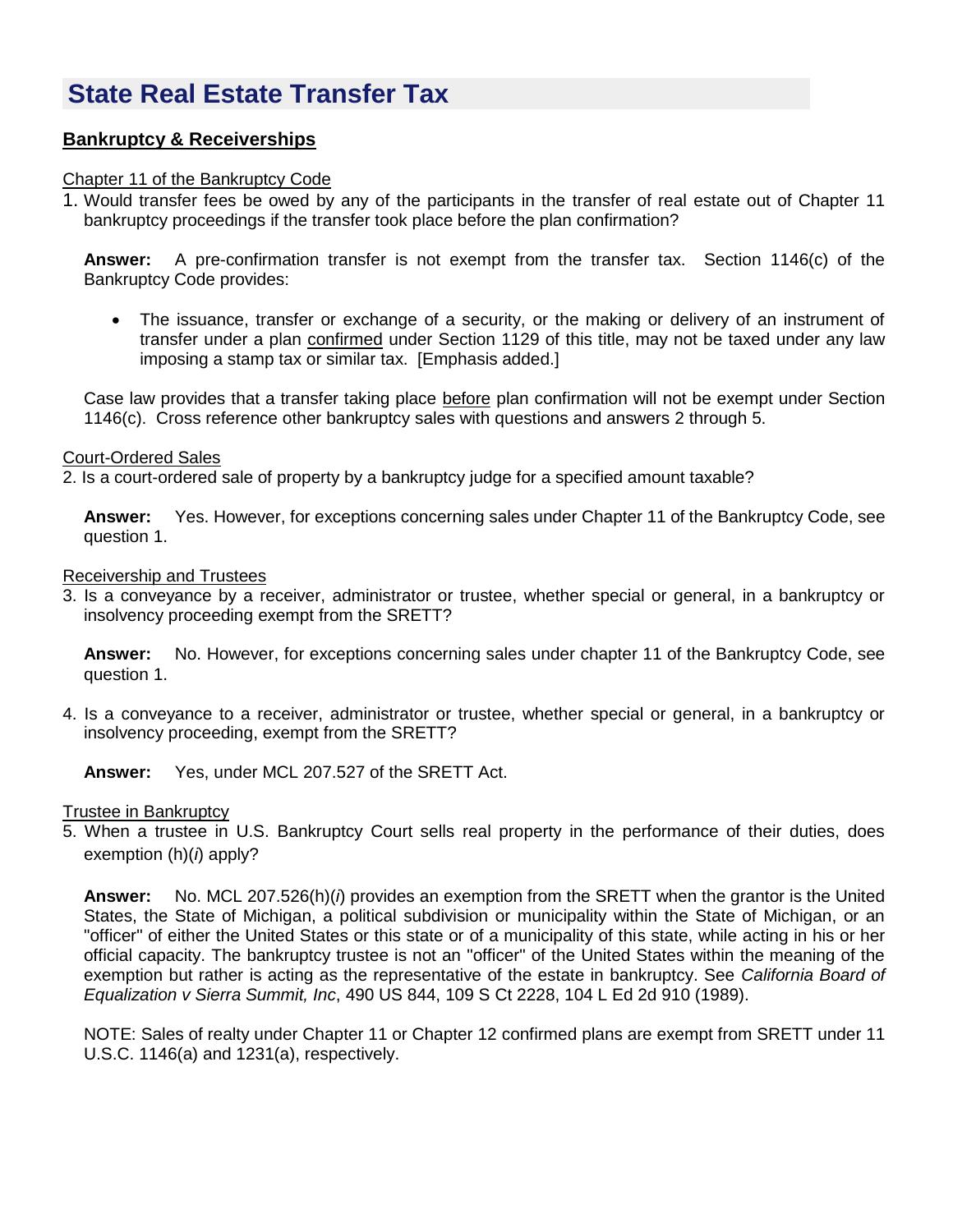# **State Real Estate Transfer Tax**

# **Bankruptcy & Receiverships**

#### Chapter 11 of the Bankruptcy Code

1. Would transfer fees be owed by any of the participants in the transfer of real estate out of Chapter 11 bankruptcy proceedings if the transfer took place before the plan confirmation?

**Answer:** A pre-confirmation transfer is not exempt from the transfer tax. Section 1146(c) of the Bankruptcy Code provides:

 The issuance, transfer or exchange of a security, or the making or delivery of an instrument of transfer under a plan confirmed under Section 1129 of this title, may not be taxed under any law imposing a stamp tax or similar tax. [Emphasis added.]

Case law provides that a transfer taking place before plan confirmation will not be exempt under Section 1146(c). Cross reference other bankruptcy sales with questions and answers 2 through 5.

#### Court-Ordered Sales

2. Is a court-ordered sale of property by a bankruptcy judge for a specified amount taxable?

**Answer:** Yes. However, for exceptions concerning sales under Chapter 11 of the Bankruptcy Code, see question 1.

#### Receivership and Trustees

3. Is a conveyance by a receiver, administrator or trustee, whether special or general, in a bankruptcy or insolvency proceeding exempt from the SRETT?

**Answer:** No. However, for exceptions concerning sales under chapter 11 of the Bankruptcy Code, see question 1.

4. Is a conveyance to a receiver, administrator or trustee, whether special or general, in a bankruptcy or insolvency proceeding, exempt from the SRETT?

**Answer:** Yes, under MCL 207.527 of the SRETT Act.

## Trustee in Bankruptcy

5. When a trustee in U.S. Bankruptcy Court sells real property in the performance of their duties, does exemption (h)(*i*) apply?

**Answer:** No. MCL 207.526(h)(*i*) provides an exemption from the SRETT when the grantor is the United States, the State of Michigan, a political subdivision or municipality within the State of Michigan, or an "officer" of either the United States or this state or of a municipality of this state, while acting in his or her official capacity. The bankruptcy trustee is not an "officer" of the United States within the meaning of the exemption but rather is acting as the representative of the estate in bankruptcy. See *California Board of Equalization v Sierra Summit, Inc*, 490 US 844, 109 S Ct 2228, 104 L Ed 2d 910 (1989).

NOTE: Sales of realty under Chapter 11 or Chapter 12 confirmed plans are exempt from SRETT under 11 U.S.C. 1146(a) and 1231(a), respectively.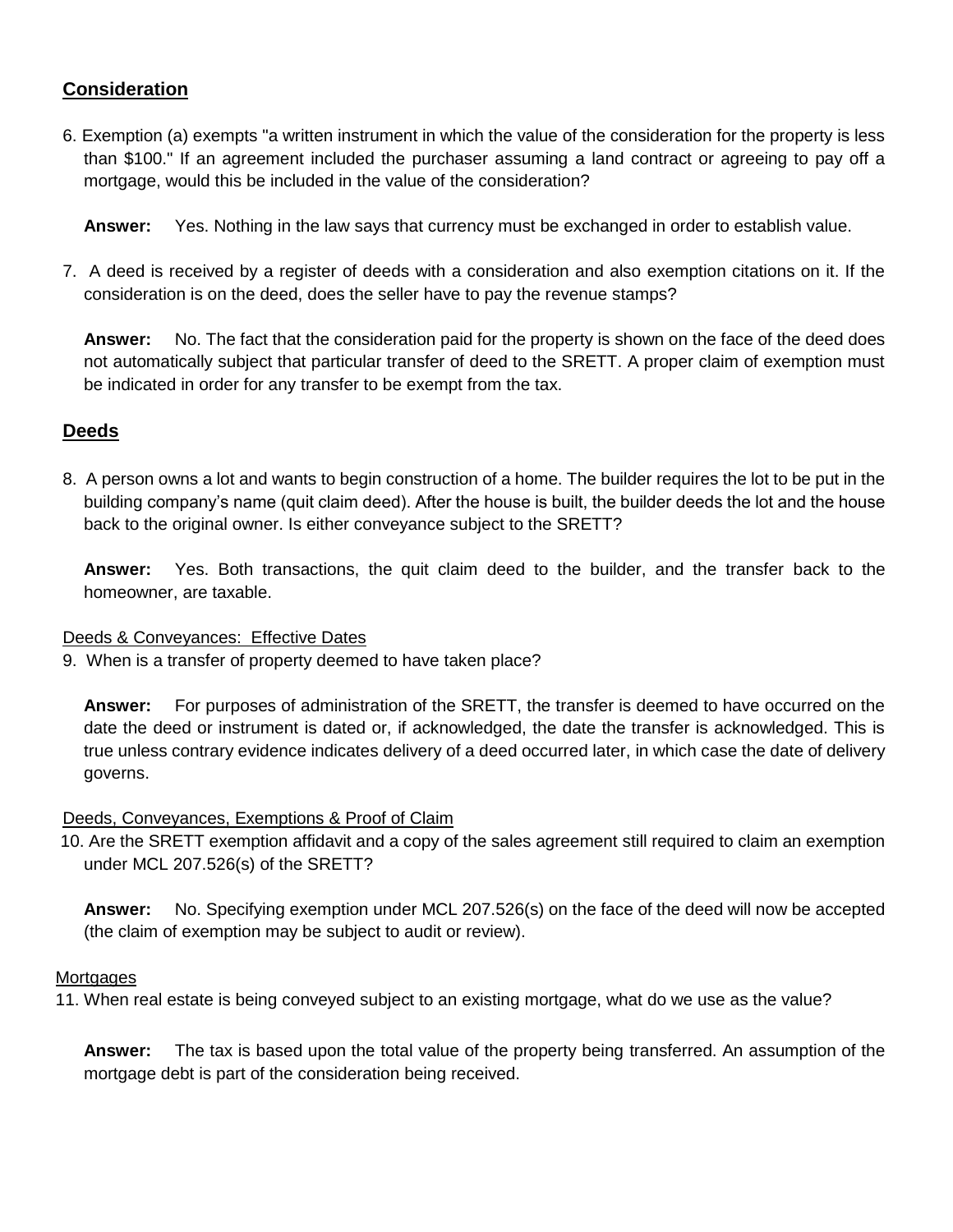# **Consideration**

6. Exemption (a) exempts "a written instrument in which the value of the consideration for the property is less than \$100." If an agreement included the purchaser assuming a land contract or agreeing to pay off a mortgage, would this be included in the value of the consideration?

**Answer:** Yes. Nothing in the law says that currency must be exchanged in order to establish value.

7. A deed is received by a register of deeds with a consideration and also exemption citations on it. If the consideration is on the deed, does the seller have to pay the revenue stamps?

**Answer:** No. The fact that the consideration paid for the property is shown on the face of the deed does not automatically subject that particular transfer of deed to the SRETT. A proper claim of exemption must be indicated in order for any transfer to be exempt from the tax.

# **Deeds**

8. A person owns a lot and wants to begin construction of a home. The builder requires the lot to be put in the building company's name (quit claim deed). After the house is built, the builder deeds the lot and the house back to the original owner. Is either conveyance subject to the SRETT?

**Answer:** Yes. Both transactions, the quit claim deed to the builder, and the transfer back to the homeowner, are taxable.

## Deeds & Conveyances: Effective Dates

9. When is a transfer of property deemed to have taken place?

**Answer:** For purposes of administration of the SRETT, the transfer is deemed to have occurred on the date the deed or instrument is dated or, if acknowledged, the date the transfer is acknowledged. This is true unless contrary evidence indicates delivery of a deed occurred later, in which case the date of delivery governs.

## Deeds, Conveyances, Exemptions & Proof of Claim

10. Are the SRETT exemption affidavit and a copy of the sales agreement still required to claim an exemption under MCL 207.526(s) of the SRETT?

**Answer:** No. Specifying exemption under MCL 207.526(s) on the face of the deed will now be accepted (the claim of exemption may be subject to audit or review).

## **Mortgages**

11. When real estate is being conveyed subject to an existing mortgage, what do we use as the value?

**Answer:** The tax is based upon the total value of the property being transferred. An assumption of the mortgage debt is part of the consideration being received.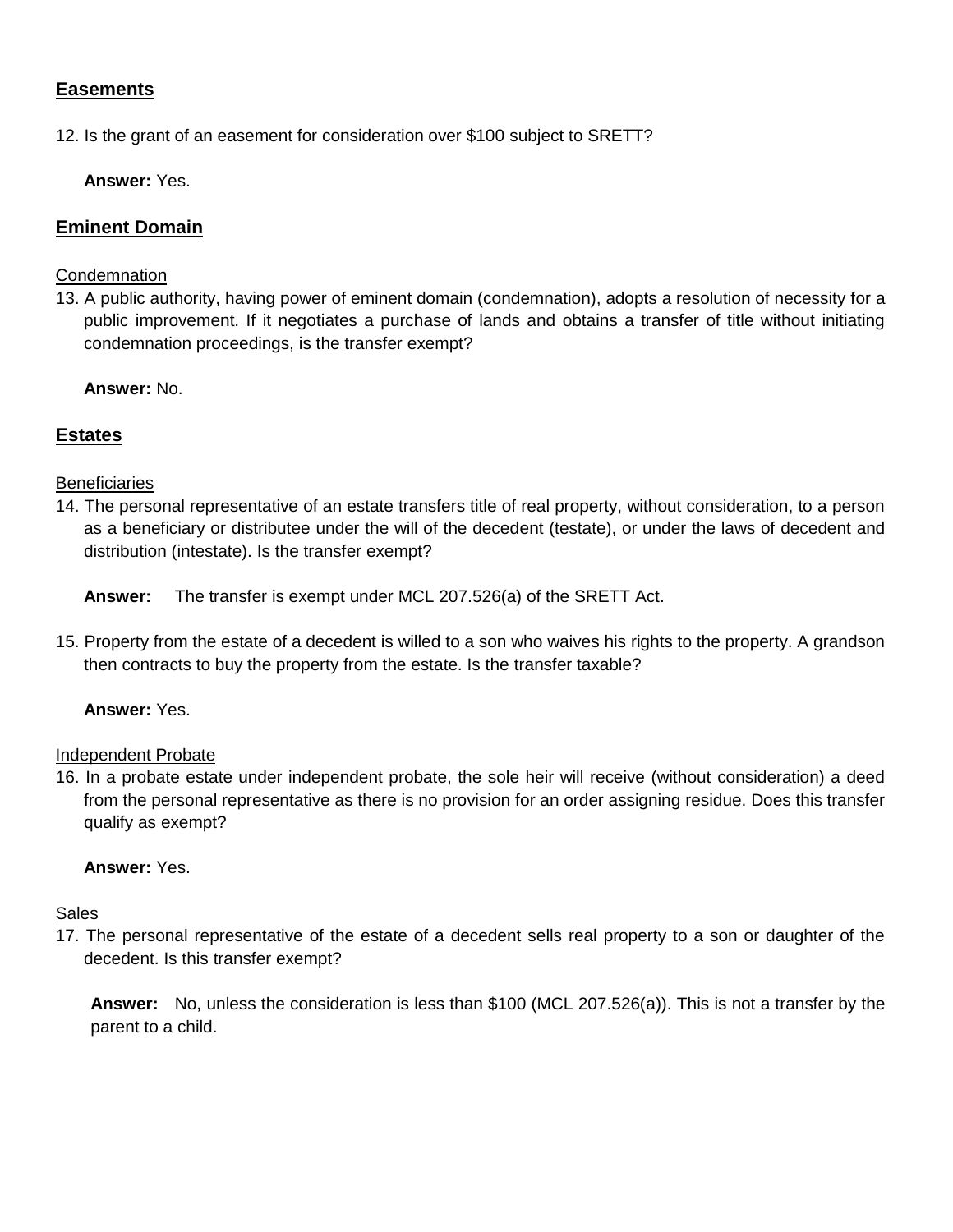# **Easements**

12. Is the grant of an easement for consideration over \$100 subject to SRETT?

**Answer:** Yes.

## **Eminent Domain**

#### **Condemnation**

13. A public authority, having power of eminent domain (condemnation), adopts a resolution of necessity for a public improvement. If it negotiates a purchase of lands and obtains a transfer of title without initiating condemnation proceedings, is the transfer exempt?

**Answer:** No.

## **Estates**

#### **Beneficiaries**

14. The personal representative of an estate transfers title of real property, without consideration, to a person as a beneficiary or distributee under the will of the decedent (testate), or under the laws of decedent and distribution (intestate). Is the transfer exempt?

**Answer:** The transfer is exempt under MCL 207.526(a) of the SRETT Act.

15. Property from the estate of a decedent is willed to a son who waives his rights to the property. A grandson then contracts to buy the property from the estate. Is the transfer taxable?

## **Answer:** Yes.

#### Independent Probate

16. In a probate estate under independent probate, the sole heir will receive (without consideration) a deed from the personal representative as there is no provision for an order assigning residue. Does this transfer qualify as exempt?

#### **Answer:** Yes.

## Sales

17. The personal representative of the estate of a decedent sells real property to a son or daughter of the decedent. Is this transfer exempt?

**Answer:** No, unless the consideration is less than \$100 (MCL 207.526(a)). This is not a transfer by the parent to a child.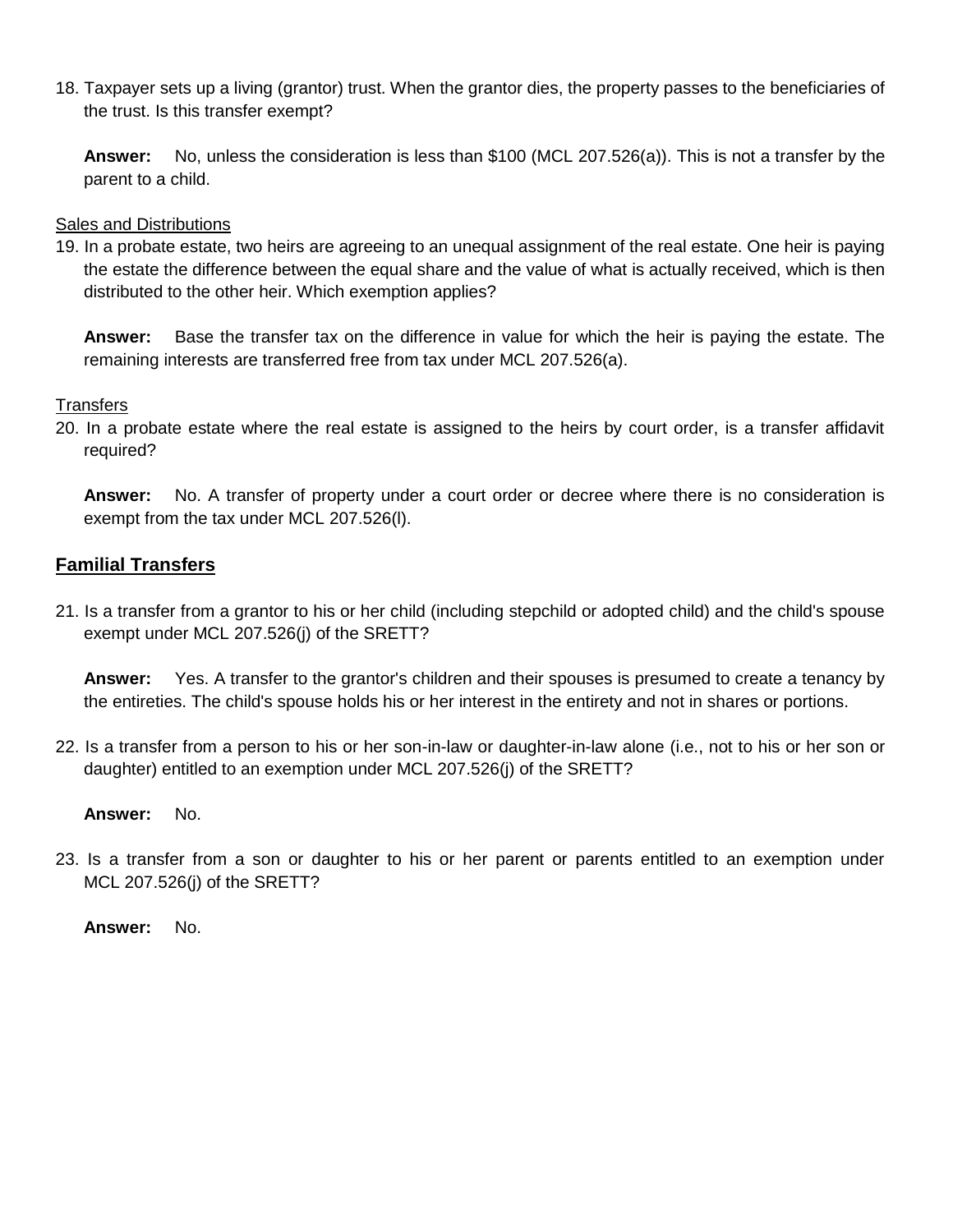18. Taxpayer sets up a living (grantor) trust. When the grantor dies, the property passes to the beneficiaries of the trust. Is this transfer exempt?

**Answer:** No, unless the consideration is less than \$100 (MCL 207.526(a)). This is not a transfer by the parent to a child.

## Sales and Distributions

19. In a probate estate, two heirs are agreeing to an unequal assignment of the real estate. One heir is paying the estate the difference between the equal share and the value of what is actually received, which is then distributed to the other heir. Which exemption applies?

**Answer:** Base the transfer tax on the difference in value for which the heir is paying the estate. The remaining interests are transferred free from tax under MCL 207.526(a).

# **Transfers**

20. In a probate estate where the real estate is assigned to the heirs by court order, is a transfer affidavit required?

**Answer:** No. A transfer of property under a court order or decree where there is no consideration is exempt from the tax under MCL 207.526(l).

# **Familial Transfers**

21. Is a transfer from a grantor to his or her child (including stepchild or adopted child) and the child's spouse exempt under MCL 207.526(j) of the SRETT?

**Answer:** Yes. A transfer to the grantor's children and their spouses is presumed to create a tenancy by the entireties. The child's spouse holds his or her interest in the entirety and not in shares or portions.

22. Is a transfer from a person to his or her son-in-law or daughter-in-law alone (i.e., not to his or her son or daughter) entitled to an exemption under MCL 207.526(j) of the SRETT?

**Answer:** No.

23. Is a transfer from a son or daughter to his or her parent or parents entitled to an exemption under MCL 207.526(j) of the SRETT?

**Answer:** No.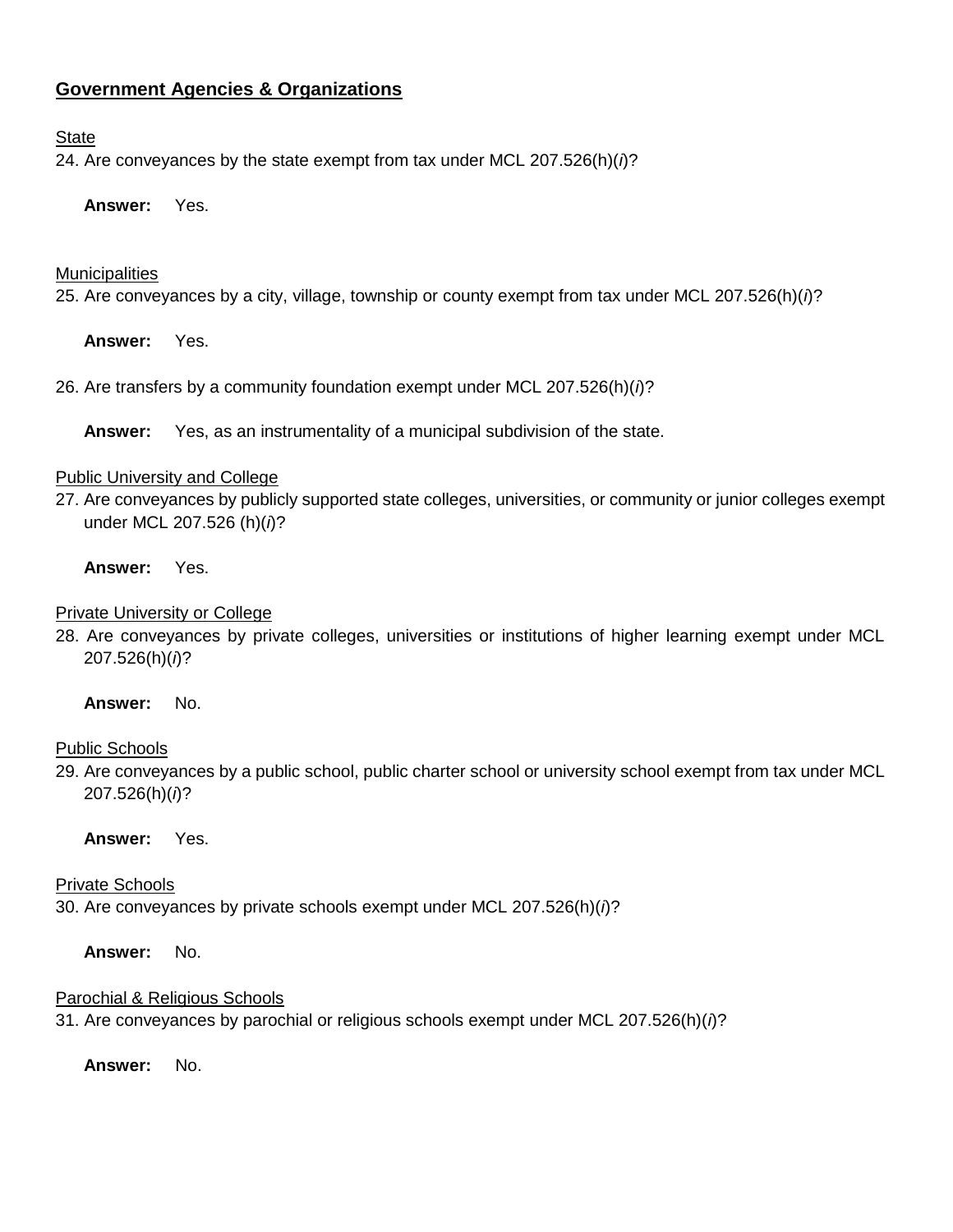# **Government Agencies & Organizations**

#### **State**

24. Are conveyances by the state exempt from tax under MCL 207.526(h)(*i*)?

**Answer:** Yes.

#### **Municipalities**

25. Are conveyances by a city, village, township or county exempt from tax under MCL 207.526(h)(*i*)?

**Answer:** Yes.

26. Are transfers by a community foundation exempt under MCL 207.526(h)(*i*)?

**Answer:** Yes, as an instrumentality of a municipal subdivision of the state.

#### Public University and College

27. Are conveyances by publicly supported state colleges, universities, or community or junior colleges exempt under MCL 207.526 (h)(*i*)?

#### **Answer:** Yes.

#### Private University or College

28. Are conveyances by private colleges, universities or institutions of higher learning exempt under MCL 207.526(h)(*i*)?

## **Answer:** No.

## Public Schools

29. Are conveyances by a public school, public charter school or university school exempt from tax under MCL 207.526(h)(*i*)?

## **Answer:** Yes.

## Private Schools

30. Are conveyances by private schools exempt under MCL 207.526(h)(*i*)?

**Answer:** No.

## Parochial & Religious Schools

31. Are conveyances by parochial or religious schools exempt under MCL 207.526(h)(*i*)?

**Answer:** No.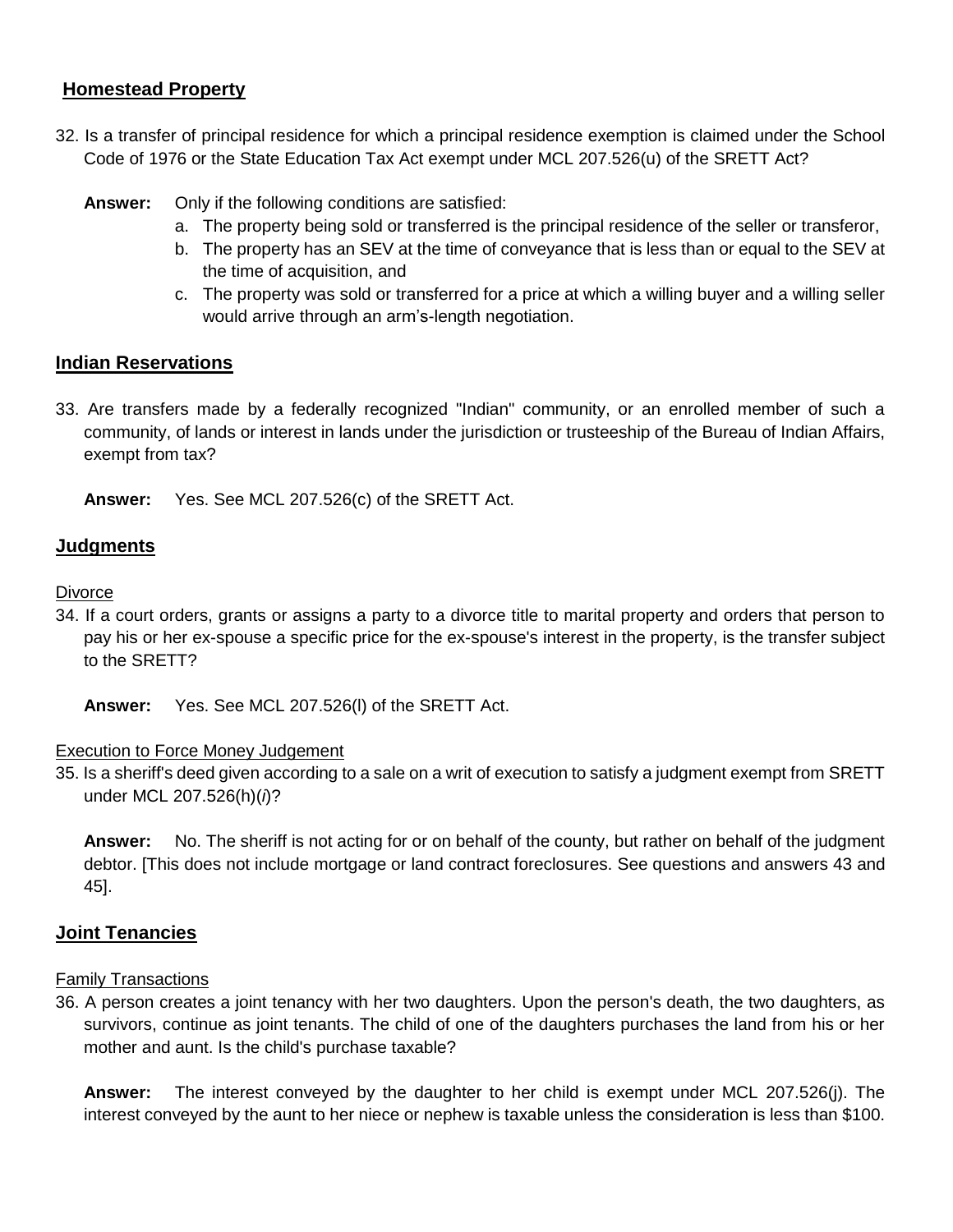## **Homestead Property**

- 32. Is a transfer of principal residence for which a principal residence exemption is claimed under the School Code of 1976 or the State Education Tax Act exempt under MCL 207.526(u) of the SRETT Act?
	- **Answer:** Only if the following conditions are satisfied:
		- a. The property being sold or transferred is the principal residence of the seller or transferor,
		- b. The property has an SEV at the time of conveyance that is less than or equal to the SEV at the time of acquisition, and
		- c. The property was sold or transferred for a price at which a willing buyer and a willing seller would arrive through an arm's-length negotiation.

## **Indian Reservations**

33. Are transfers made by a federally recognized "Indian" community, or an enrolled member of such a community, of lands or interest in lands under the jurisdiction or trusteeship of the Bureau of Indian Affairs, exempt from tax?

**Answer:** Yes. See MCL 207.526(c) of the SRETT Act.

## **Judgments**

#### **Divorce**

34. If a court orders, grants or assigns a party to a divorce title to marital property and orders that person to pay his or her ex-spouse a specific price for the ex-spouse's interest in the property, is the transfer subject to the SRETT?

**Answer:** Yes. See MCL 207.526(l) of the SRETT Act.

## Execution to Force Money Judgement

35. Is a sheriff's deed given according to a sale on a writ of execution to satisfy a judgment exempt from SRETT under MCL 207.526(h)(*i*)?

**Answer:** No. The sheriff is not acting for or on behalf of the county, but rather on behalf of the judgment debtor. [This does not include mortgage or land contract foreclosures. See questions and answers 43 and 45].

## **Joint Tenancies**

## Family Transactions

36. A person creates a joint tenancy with her two daughters. Upon the person's death, the two daughters, as survivors, continue as joint tenants. The child of one of the daughters purchases the land from his or her mother and aunt. Is the child's purchase taxable?

**Answer:** The interest conveyed by the daughter to her child is exempt under MCL 207.526(j). The interest conveyed by the aunt to her niece or nephew is taxable unless the consideration is less than \$100.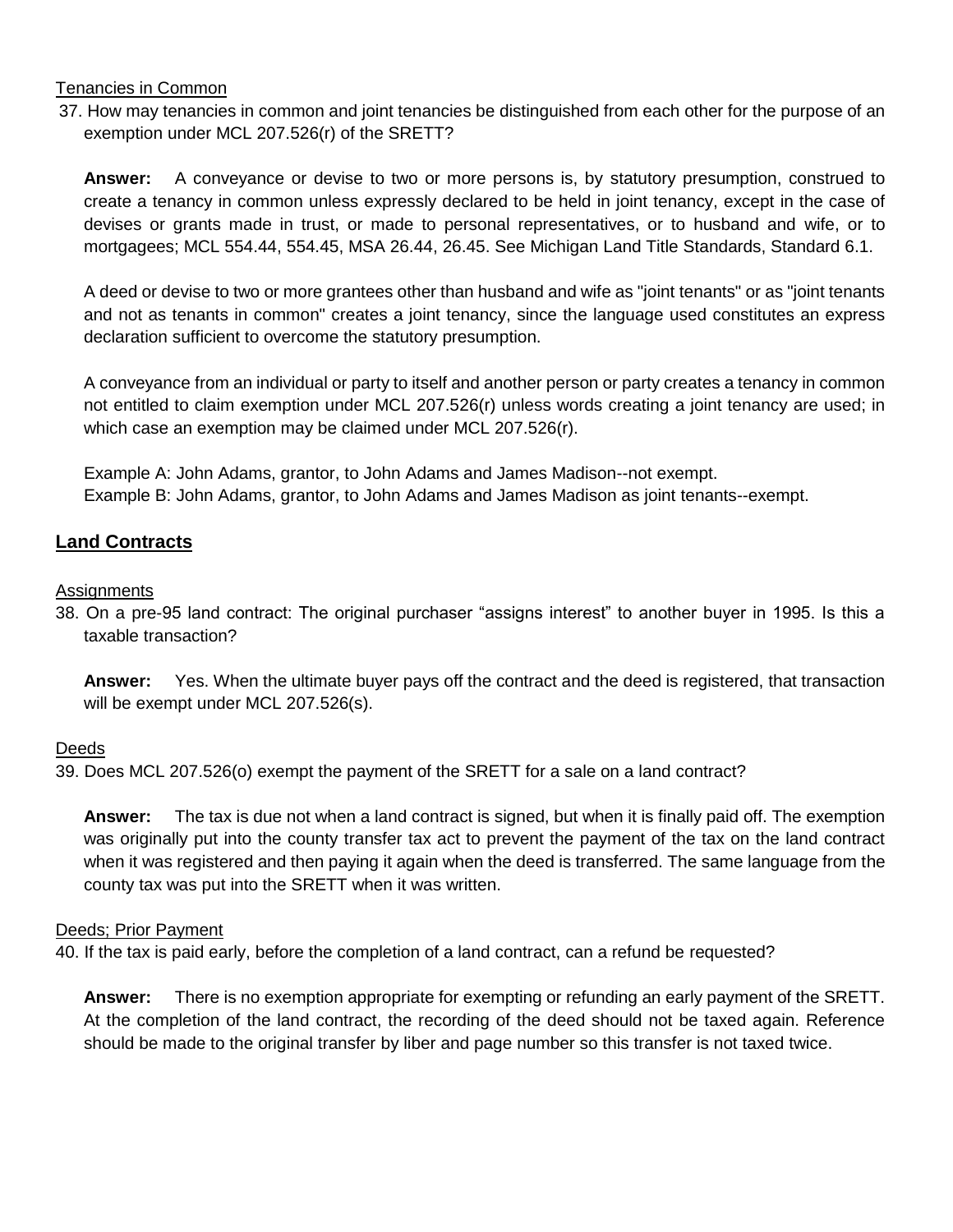## Tenancies in Common

 37. How may tenancies in common and joint tenancies be distinguished from each other for the purpose of an exemption under MCL 207.526(r) of the SRETT?

**Answer:** A conveyance or devise to two or more persons is, by statutory presumption, construed to create a tenancy in common unless expressly declared to be held in joint tenancy, except in the case of devises or grants made in trust, or made to personal representatives, or to husband and wife, or to mortgagees; MCL 554.44, 554.45, MSA 26.44, 26.45. See Michigan Land Title Standards, Standard 6.1.

A deed or devise to two or more grantees other than husband and wife as "joint tenants" or as "joint tenants and not as tenants in common" creates a joint tenancy, since the language used constitutes an express declaration sufficient to overcome the statutory presumption.

A conveyance from an individual or party to itself and another person or party creates a tenancy in common not entitled to claim exemption under MCL 207.526(r) unless words creating a joint tenancy are used; in which case an exemption may be claimed under MCL 207.526(r).

Example A: John Adams, grantor, to John Adams and James Madison--not exempt. Example B: John Adams, grantor, to John Adams and James Madison as joint tenants--exempt.

## **Land Contracts**

#### **Assignments**

38. On a pre-95 land contract: The original purchaser "assigns interest" to another buyer in 1995. Is this a taxable transaction?

**Answer:** Yes. When the ultimate buyer pays off the contract and the deed is registered, that transaction will be exempt under MCL 207.526(s).

## Deeds

39. Does MCL 207.526(o) exempt the payment of the SRETT for a sale on a land contract?

**Answer:** The tax is due not when a land contract is signed, but when it is finally paid off. The exemption was originally put into the county transfer tax act to prevent the payment of the tax on the land contract when it was registered and then paying it again when the deed is transferred. The same language from the county tax was put into the SRETT when it was written.

#### Deeds; Prior Payment

40. If the tax is paid early, before the completion of a land contract, can a refund be requested?

**Answer:** There is no exemption appropriate for exempting or refunding an early payment of the SRETT. At the completion of the land contract, the recording of the deed should not be taxed again. Reference should be made to the original transfer by liber and page number so this transfer is not taxed twice.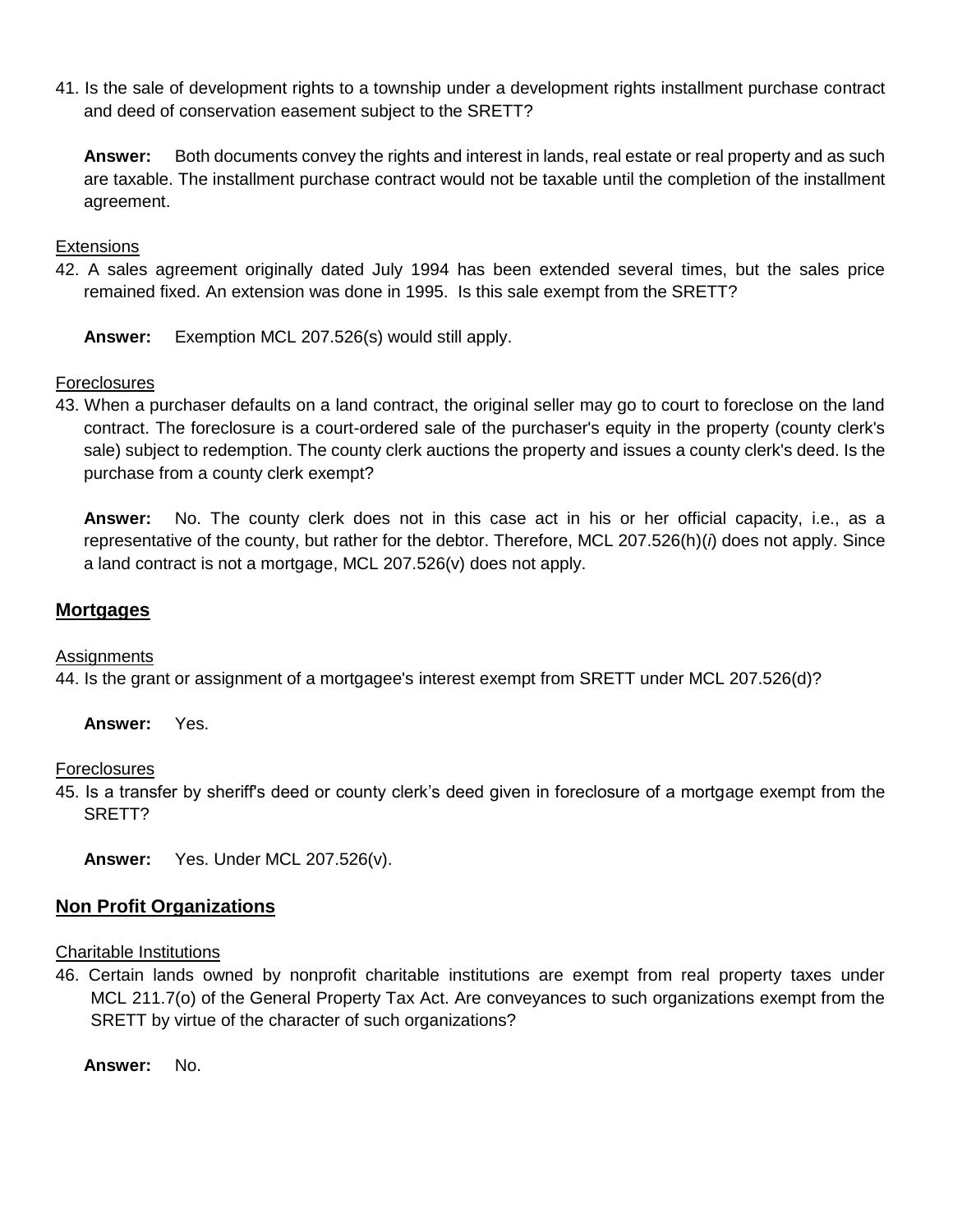41. Is the sale of development rights to a township under a development rights installment purchase contract and deed of conservation easement subject to the SRETT?

**Answer:** Both documents convey the rights and interest in lands, real estate or real property and as such are taxable. The installment purchase contract would not be taxable until the completion of the installment agreement.

## **Extensions**

42. A sales agreement originally dated July 1994 has been extended several times, but the sales price remained fixed. An extension was done in 1995. Is this sale exempt from the SRETT?

**Answer:** Exemption MCL 207.526(s) would still apply.

## **Foreclosures**

43. When a purchaser defaults on a land contract, the original seller may go to court to foreclose on the land contract. The foreclosure is a court-ordered sale of the purchaser's equity in the property (county clerk's sale) subject to redemption. The county clerk auctions the property and issues a county clerk's deed. Is the purchase from a county clerk exempt?

**Answer:** No. The county clerk does not in this case act in his or her official capacity, i.e., as a representative of the county, but rather for the debtor. Therefore, MCL 207.526(h)(*i*) does not apply. Since a land contract is not a mortgage, MCL 207.526(v) does not apply.

## **Mortgages**

#### **Assignments**

44. Is the grant or assignment of a mortgagee's interest exempt from SRETT under MCL 207.526(d)?

**Answer:** Yes.

Foreclosures

45. Is a transfer by sheriff's deed or county clerk's deed given in foreclosure of a mortgage exempt from the SRETT?

**Answer:** Yes. Under MCL 207.526(v).

## **Non Profit Organizations**

#### Charitable Institutions

46. Certain lands owned by nonprofit charitable institutions are exempt from real property taxes under MCL 211.7(o) of the General Property Tax Act. Are conveyances to such organizations exempt from the SRETT by virtue of the character of such organizations?

**Answer:** No.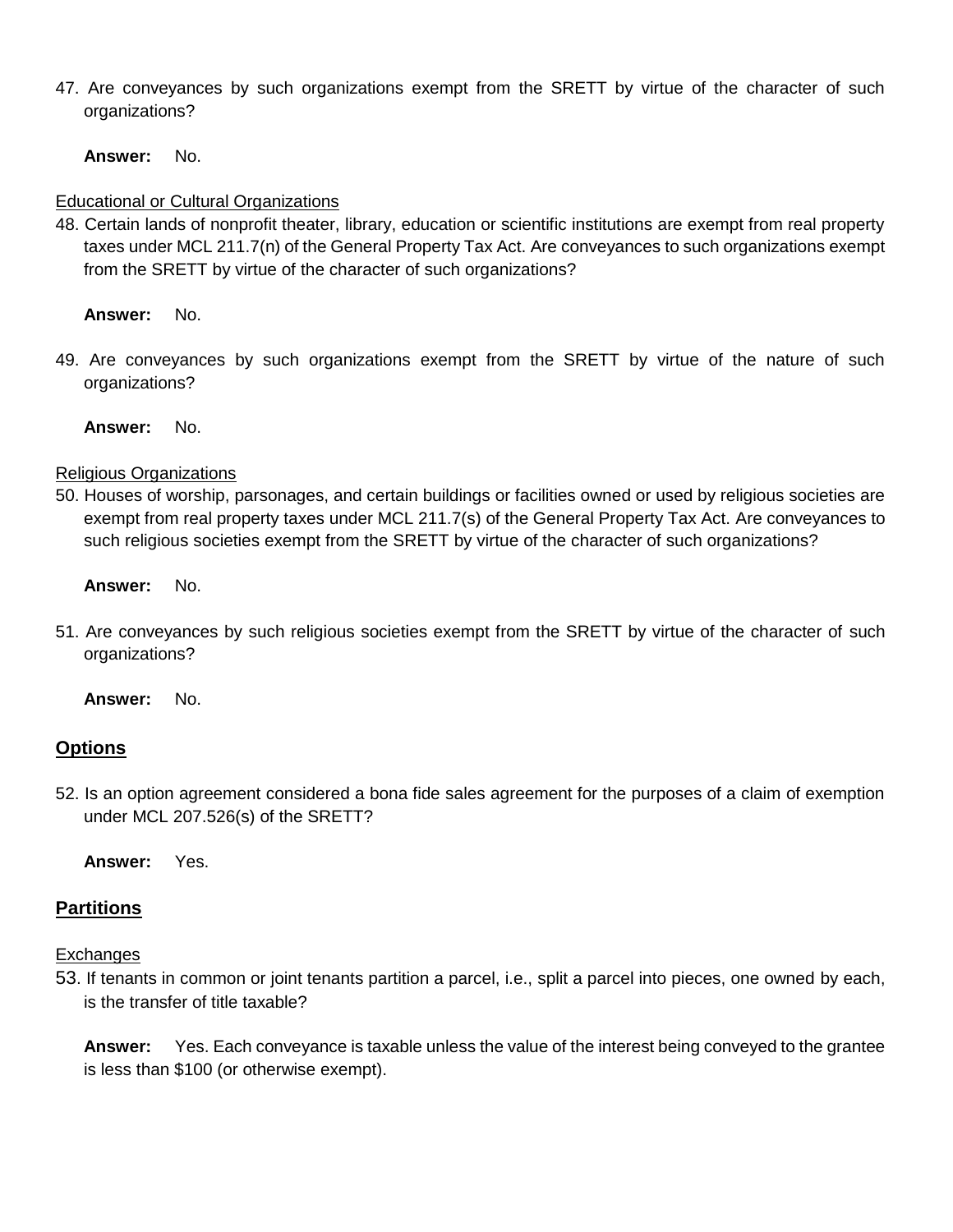47. Are conveyances by such organizations exempt from the SRETT by virtue of the character of such organizations?

**Answer:** No.

# Educational or Cultural Organizations

48. Certain lands of nonprofit theater, library, education or scientific institutions are exempt from real property taxes under MCL 211.7(n) of the General Property Tax Act. Are conveyances to such organizations exempt from the SRETT by virtue of the character of such organizations?

**Answer:** No.

49. Are conveyances by such organizations exempt from the SRETT by virtue of the nature of such organizations?

**Answer:** No.

# Religious Organizations

50. Houses of worship, parsonages, and certain buildings or facilities owned or used by religious societies are exempt from real property taxes under MCL 211.7(s) of the General Property Tax Act. Are conveyances to such religious societies exempt from the SRETT by virtue of the character of such organizations?

**Answer:** No.

51. Are conveyances by such religious societies exempt from the SRETT by virtue of the character of such organizations?

**Answer:** No.

# **Options**

52. Is an option agreement considered a bona fide sales agreement for the purposes of a claim of exemption under MCL 207.526(s) of the SRETT?

**Answer:** Yes.

# **Partitions**

# **Exchanges**

53. If tenants in common or joint tenants partition a parcel, i.e., split a parcel into pieces, one owned by each, is the transfer of title taxable?

**Answer:** Yes. Each conveyance is taxable unless the value of the interest being conveyed to the grantee is less than \$100 (or otherwise exempt).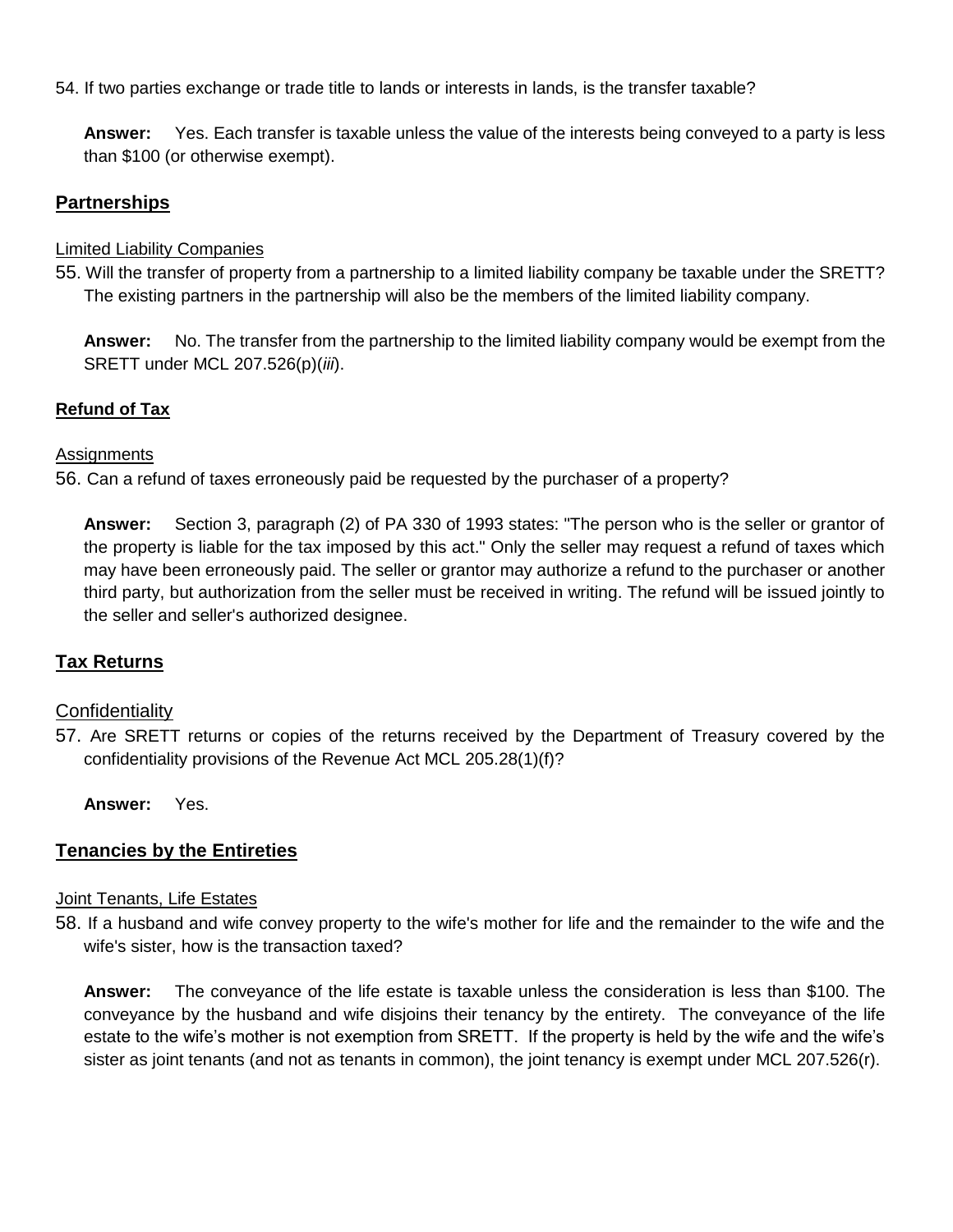## 54. If two parties exchange or trade title to lands or interests in lands, is the transfer taxable?

**Answer:** Yes. Each transfer is taxable unless the value of the interests being conveyed to a party is less than \$100 (or otherwise exempt).

# **Partnerships**

## Limited Liability Companies

55. Will the transfer of property from a partnership to a limited liability company be taxable under the SRETT? The existing partners in the partnership will also be the members of the limited liability company.

**Answer:** No. The transfer from the partnership to the limited liability company would be exempt from the SRETT under MCL 207.526(p)(*iii*).

# **Refund of Tax**

## **Assignments**

56. Can a refund of taxes erroneously paid be requested by the purchaser of a property?

**Answer:** Section 3, paragraph (2) of PA 330 of 1993 states: "The person who is the seller or grantor of the property is liable for the tax imposed by this act." Only the seller may request a refund of taxes which may have been erroneously paid. The seller or grantor may authorize a refund to the purchaser or another third party, but authorization from the seller must be received in writing. The refund will be issued jointly to the seller and seller's authorized designee.

# **Tax Returns**

# **Confidentiality**

57. Are SRETT returns or copies of the returns received by the Department of Treasury covered by the confidentiality provisions of the Revenue Act MCL 205.28(1)(f)?

**Answer:** Yes.

# **Tenancies by the Entireties**

## Joint Tenants, Life Estates

58. If a husband and wife convey property to the wife's mother for life and the remainder to the wife and the wife's sister, how is the transaction taxed?

**Answer:** The conveyance of the life estate is taxable unless the consideration is less than \$100. The conveyance by the husband and wife disjoins their tenancy by the entirety. The conveyance of the life estate to the wife's mother is not exemption from SRETT. If the property is held by the wife and the wife's sister as joint tenants (and not as tenants in common), the joint tenancy is exempt under MCL 207.526(r).